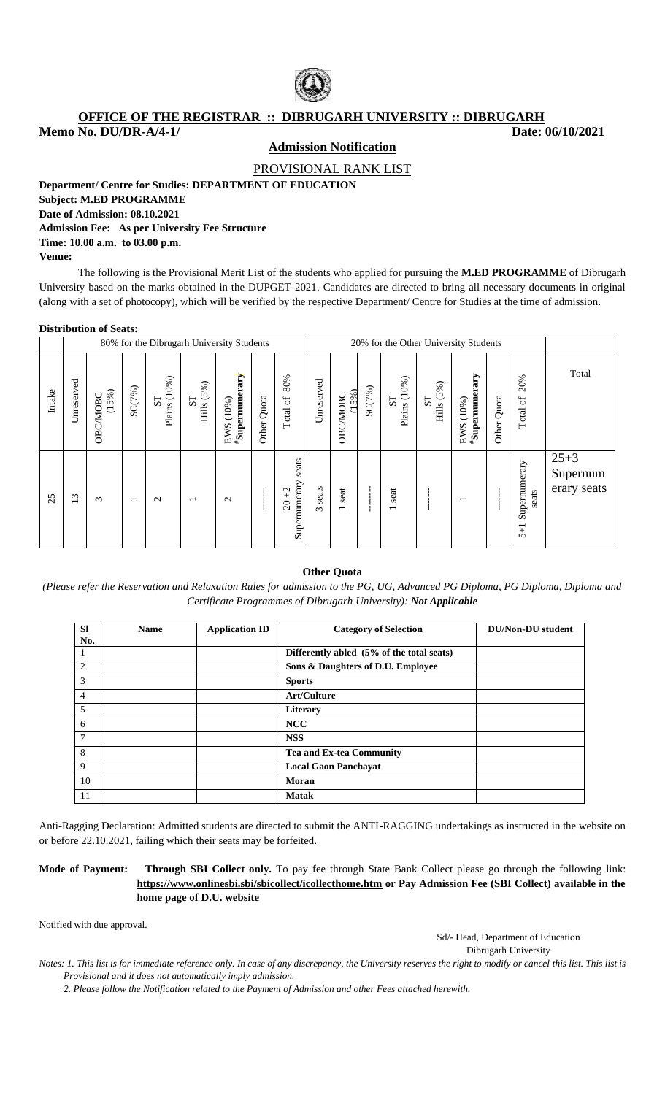

## **OFFICE OF THE REGISTRAR :: DIBRUGARH UNIVERSITY :: DIBRUGARH**

**Memo No. DU/DR-A/4-1/** Date: 06/10/2021

**Admission Notification**

PROVISIONAL RANK LIST

**Department/ Centre for Studies: DEPARTMENT OF EDUCATION**

### **Subject: M.ED PROGRAMME Date of Admission: 08.10.2021**

## **Admission Fee: As per University Fee Structure Time: 10.00 a.m. to 03.00 p.m. Venue:**

The following is the Provisional Merit List of the students who applied for pursuing the **M.ED PROGRAMME** of Dibrugarh University based on the marks obtained in the DUPGET-2021. Candidates are directed to bring all necessary documents in original (along with a set of photocopy), which will be verified by the respective Department/ Centre for Studies at the time of admission.

### **Distribution of Seats:**

|        |                                        |                  |                          | 80% for the Dibrugarh University Students |                                                                         |                                             |             |                                                     |                   |                                  |        |                                                                  | 20% for the Other University Students |                                       |             |                                 |                                     |
|--------|----------------------------------------|------------------|--------------------------|-------------------------------------------|-------------------------------------------------------------------------|---------------------------------------------|-------------|-----------------------------------------------------|-------------------|----------------------------------|--------|------------------------------------------------------------------|---------------------------------------|---------------------------------------|-------------|---------------------------------|-------------------------------------|
| Intake | Unreserved                             | (15%)<br>OBCMOBC | SC(7%)                   | Plains (10%)<br>$\overline{\text{S}}$     | $\begin{array}{c} \text{ST} \\ \text{Hills} \ (\text{5\%}) \end{array}$ | $\mu_{\mathbf S}$ upernumerary<br>EWS (10%) | Other Quota | 80%<br>$\operatorname{\mathsf{Total}}$ of           | Unreserved        | 5%)<br>OBC/MOBC<br>H             | SC(7%) | $\begin{array}{c} {\rm ST} \\ {\rm Plians} \ (10\%) \end{array}$ | Hills (5%)<br>${\rm S}$               | $^{\#}$ Supernumerary<br>(10%)<br>EWS | Other Quota | 20%<br>Total of                 | Total                               |
| 25     | $\epsilon$<br>$\overline{\phantom{0}}$ | $\sim$           | $\overline{\phantom{0}}$ | $\mathbf{\sim}$                           | $\overline{\phantom{0}}$                                                | $\mathbf{\Omega}$                           |             | seats<br>Supernumerary<br>$^{+2}$<br>$\overline{c}$ | seats<br>$\infty$ | seat<br>$\overline{\phantom{0}}$ |        | seat                                                             |                                       | $\overline{\phantom{0}}$              |             | Supernumerary<br>seats<br>$5+1$ | $25 + 3$<br>Supernum<br>erary seats |

### **Other Quota**

*(Please refer the Reservation and Relaxation Rules for admission to the PG, UG, Advanced PG Diploma, PG Diploma, Diploma and Certificate Programmes of Dibrugarh University): Not Applicable*

|                | <b>Name</b> |                       |                                           | <b>DU/Non-DU</b> student |
|----------------|-------------|-----------------------|-------------------------------------------|--------------------------|
| <b>SI</b>      |             | <b>Application ID</b> | <b>Category of Selection</b>              |                          |
| No.            |             |                       |                                           |                          |
| $\mathbf{1}$   |             |                       | Differently abled (5% of the total seats) |                          |
| 2              |             |                       | Sons & Daughters of D.U. Employee         |                          |
| 3              |             |                       | <b>Sports</b>                             |                          |
| $\overline{4}$ |             |                       | <b>Art/Culture</b>                        |                          |
| 5              |             |                       | Literary                                  |                          |
| 6              |             |                       | <b>NCC</b>                                |                          |
| 7              |             |                       | <b>NSS</b>                                |                          |
| 8              |             |                       | <b>Tea and Ex-tea Community</b>           |                          |
| 9              |             |                       | <b>Local Gaon Panchayat</b>               |                          |
| 10             |             |                       | Moran                                     |                          |
| 11             |             |                       | <b>Matak</b>                              |                          |

Anti-Ragging Declaration: Admitted students are directed to submit the ANTI-RAGGING undertakings as instructed in the website on or before 22.10.2021, failing which their seats may be forfeited.

**Mode of Payment: Through SBI Collect only.** To pay fee through State Bank Collect please go through the following link: **<https://www.onlinesbi.sbi/sbicollect/icollecthome.htm> or Pay Admission Fee (SBI Collect) available in the home page of D.U. website**

Notified with due approval.

Sd/- Head, Department of Education

Dibrugarh University

*Notes: 1. This list is for immediate reference only. In case of any discrepancy, the University reserves the right to modify or cancel this list. This list is Provisional and it does not automatically imply admission.*

*2. Please follow the Notification related to the Payment of Admission and other Fees attached herewith.*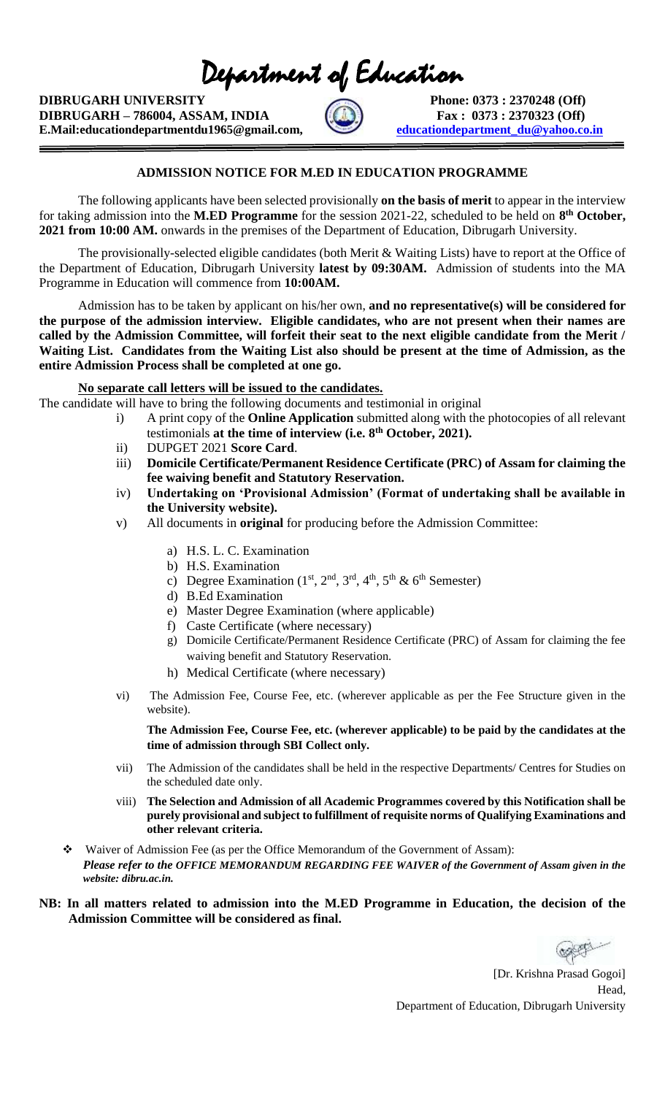Department of Education

**DIBRUGARH UNIVERSITY** Phone: 0373 : 2370248 (Off) **DIBRUGARH – 786004, ASSAM, INDIA Fax** : 0373 : 2370323 (Off) **E.Mail:educationdepartmentdu1965@gmail.com,** educationdepartment du@yahoo.co.in



## **ADMISSION NOTICE FOR M.ED IN EDUCATION PROGRAMME**

The following applicants have been selected provisionally **on the basis of merit** to appear in the interview for taking admission into the **M.ED Programme** for the session 2021-22, scheduled to be held on **8 th October, 2021 from 10:00 AM.** onwards in the premises of the Department of Education, Dibrugarh University.

The provisionally-selected eligible candidates (both Merit & Waiting Lists) have to report at the Office of the Department of Education, Dibrugarh University **latest by 09:30AM.** Admission of students into the MA Programme in Education will commence from **10:00AM.** 

Admission has to be taken by applicant on his/her own, **and no representative(s) will be considered for the purpose of the admission interview. Eligible candidates, who are not present when their names are called by the Admission Committee, will forfeit their seat to the next eligible candidate from the Merit / Waiting List. Candidates from the Waiting List also should be present at the time of Admission, as the entire Admission Process shall be completed at one go.** 

**No separate call letters will be issued to the candidates.**

- The candidate will have to bring the following documents and testimonial in original
	- i) A print copy of the **Online Application** submitted along with the photocopies of all relevant testimonials **at the time of interview (i.e. 8th October, 2021).**
	- ii) DUPGET 2021 **Score Card**.
	- iii) **Domicile Certificate/Permanent Residence Certificate (PRC) of Assam for claiming the fee waiving benefit and Statutory Reservation.**
	- iv) **Undertaking on 'Provisional Admission' (Format of undertaking shall be available in the University website).**
	- v) All documents in **original** for producing before the Admission Committee:
		- a) H.S. L. C. Examination
		- b) H.S. Examination
		- c) Degree Examination ( $1<sup>st</sup>$ ,  $2<sup>nd</sup>$ ,  $3<sup>rd</sup>$ ,  $4<sup>th</sup>$ ,  $5<sup>th</sup>$  &  $6<sup>th</sup>$  Semester)
		- d) B.Ed Examination
		- e) Master Degree Examination (where applicable)
		- f) Caste Certificate (where necessary)
		- g) Domicile Certificate/Permanent Residence Certificate (PRC) of Assam for claiming the fee waiving benefit and Statutory Reservation.
		- h) Medical Certificate (where necessary)
	- vi) The Admission Fee, Course Fee, etc. (wherever applicable as per the Fee Structure given in the website).

**The Admission Fee, Course Fee, etc. (wherever applicable) to be paid by the candidates at the time of admission through SBI Collect only.**

- vii) The Admission of the candidates shall be held in the respective Departments/ Centres for Studies on the scheduled date only.
- viii) **The Selection and Admission of all Academic Programmes covered by this Notification shall be purely provisional and subject to fulfillment of requisite norms of Qualifying Examinations and other relevant criteria.**
- ❖ Waiver of Admission Fee (as per the Office Memorandum of the Government of Assam): *Please refer to the OFFICE MEMORANDUM REGARDING FEE WAIVER of the Government of Assam given in the website: dibru.ac.in.*

## **NB: In all matters related to admission into the M.ED Programme in Education, the decision of the Admission Committee will be considered as final.**

 [Dr. Krishna Prasad Gogoi] Head, Department of Education, Dibrugarh University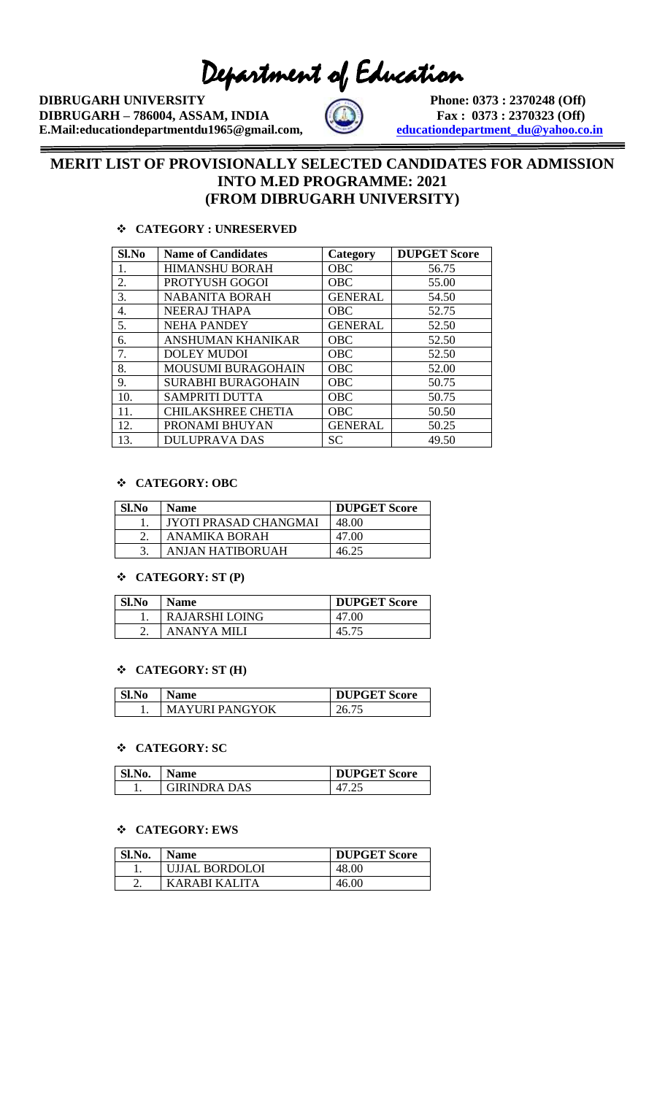Department of Education

**DIBRUGARH UNIVERSITY** Phone: 0373 : 2370248 (Off) **DIBRUGARH – 786004, ASSAM, INDIA**  $\left(\begin{matrix} 0 \\ 0 \end{matrix}\right)$  **Fax** : 0373 : 2370323 (Off) **E.Mail:educationdepartmentdu1965@gmail.com, <u>
<b>educationdepartment\_du@yahoo.co.in</u>**</u>



## **MERIT LIST OF PROVISIONALLY SELECTED CANDIDATES FOR ADMISSION INTO M.ED PROGRAMME: 2021 (FROM DIBRUGARH UNIVERSITY)**

## ❖ **CATEGORY : UNRESERVED**

| Sl.No | <b>Name of Candidates</b> | Category       | <b>DUPGET Score</b> |
|-------|---------------------------|----------------|---------------------|
| 1.    | <b>HIMANSHU BORAH</b>     | <b>OBC</b>     | 56.75               |
| 2.    | PROTYUSH GOGOI            | <b>OBC</b>     | 55.00               |
| 3.    | <b>NABANITA BORAH</b>     | <b>GENERAL</b> | 54.50               |
| 4.    | <b>NEERAJ THAPA</b>       | <b>OBC</b>     | 52.75               |
| 5.    | <b>NEHA PANDEY</b>        | <b>GENERAL</b> | 52.50               |
| б.    | ANSHUMAN KHANIKAR         | <b>OBC</b>     | 52.50               |
| 7.    | <b>DOLEY MUDOI</b>        | OBC            | 52.50               |
| 8.    | <b>MOUSUMI BURAGOHAIN</b> | <b>OBC</b>     | 52.00               |
| 9.    | <b>SURABHI BURAGOHAIN</b> | <b>OBC</b>     | 50.75               |
| 10.   | <b>SAMPRITI DUTTA</b>     | <b>OBC</b>     | 50.75               |
| 11.   | <b>CHILAKSHREE CHETIA</b> | <b>OBC</b>     | 50.50               |
| 12.   | PRONAMI BHUYAN            | <b>GENERAL</b> | 50.25               |
| 13.   | <b>DULUPRAVA DAS</b>      | SC.            | 49.50               |

## ❖ **CATEGORY: OBC**

| Sl.No | <b>Name</b>           | <b>DUPGET Score</b> |
|-------|-----------------------|---------------------|
|       | JYOTI PRASAD CHANGMAI | 48.00               |
|       | ANAMIKA BORAH         | 47.00               |
|       | ANJAN HATIBORUAH      | 46.25               |

## ❖ **CATEGORY: ST (P)**

| Sl.No | Name                  | <b>DUPGET Score</b> |
|-------|-----------------------|---------------------|
|       | <b>RAJARSHI LOING</b> | 47.00               |
| ۷.    | ANANYA MILI           |                     |

### ❖ **CATEGORY: ST (H)**

| Sl.No | Name                  | <b>DUPGET Score</b> |
|-------|-----------------------|---------------------|
|       | <b>MAYURI PANGYOK</b> | 26.75               |

### ❖ **CATEGORY: SC**

| Sl.No. | <b>Name</b>         | <b>DUPGET Score</b> |
|--------|---------------------|---------------------|
|        | <b>GIRINDRA DAS</b> | Д.                  |

### ❖ **CATEGORY: EWS**

| Sl.No. | Name           | <b>DUPGET Score</b> |
|--------|----------------|---------------------|
|        | UJJAL BORDOLOI | 48.00               |
|        | KARARI KALITA  | 46.00               |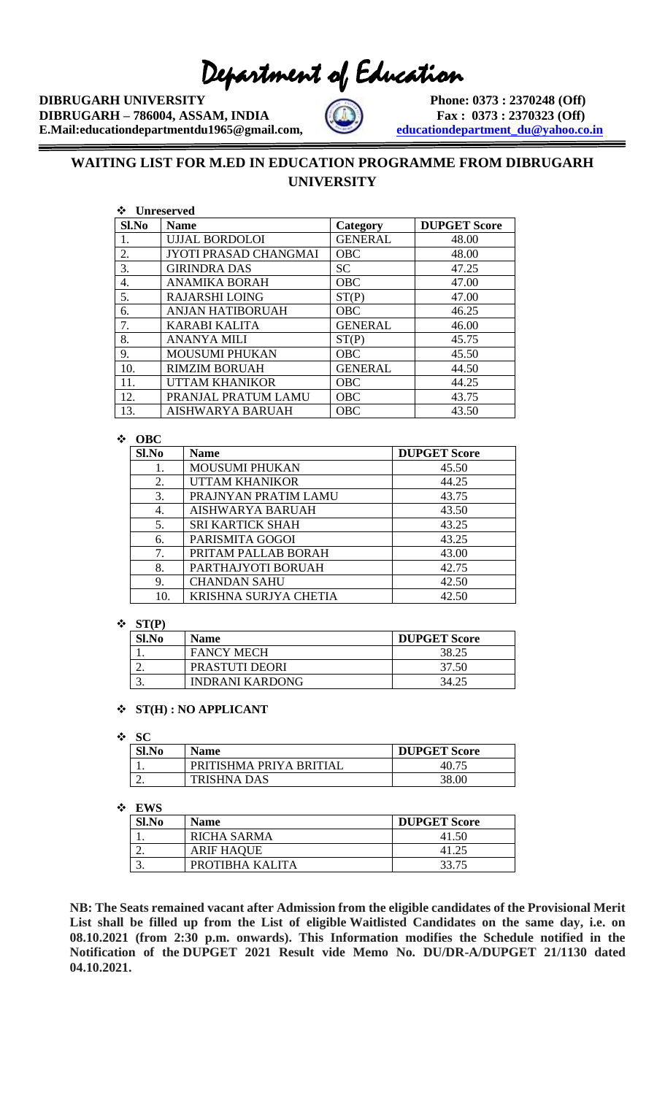# Department of Education

**DIBRUGARH UNIVERSITY** Phone: 0373 : 2370248 (Off) **DIBRUGARH – 786004, ASSAM, INDIA Fax** : 0373 : 2370323 (Off) **E.Mail:educationdepartmentdu1965@gmail.com, <u>
<b>educationdepartment\_du@yahoo.co.in</u>**</u>

 $\equiv$ 



# **WAITING LIST FOR M.ED IN EDUCATION PROGRAMME FROM DIBRUGARH UNIVERSITY**

| Unreserved |
|------------|
|            |

| Sl.No | <b>Name</b>                  | Category       | <b>DUPGET Score</b> |
|-------|------------------------------|----------------|---------------------|
| 1.    | <b>UJJAL BORDOLOI</b>        | <b>GENERAL</b> | 48.00               |
| 2.    | <b>JYOTI PRASAD CHANGMAI</b> | <b>OBC</b>     | 48.00               |
| 3.    | <b>GIRINDRA DAS</b>          | <b>SC</b>      | 47.25               |
| 4.    | <b>ANAMIKA BORAH</b>         | OBC            | 47.00               |
| 5.    | <b>RAJARSHI LOING</b>        | ST(P)          | 47.00               |
| 6.    | <b>ANJAN HATIBORUAH</b>      | <b>OBC</b>     | 46.25               |
| 7.    | <b>KARABI KALITA</b>         | <b>GENERAL</b> | 46.00               |
| 8.    | <b>ANANYA MILI</b>           | ST(P)          | 45.75               |
| 9.    | <b>MOUSUMI PHUKAN</b>        | <b>OBC</b>     | 45.50               |
| 10.   | <b>RIMZIM BORUAH</b>         | <b>GENERAL</b> | 44.50               |
| 11.   | <b>UTTAM KHANIKOR</b>        | <b>OBC</b>     | 44.25               |
| 12.   | PRANJAL PRATUM LAMU          | <b>OBC</b>     | 43.75               |
| 13.   | AISHWARYA BARUAH             | <b>OBC</b>     | 43.50               |

## ❖ **OBC**

| Sl.No | Name                    | <b>DUPGET Score</b> |
|-------|-------------------------|---------------------|
| 1.    | <b>MOUSUMI PHUKAN</b>   | 45.50               |
| 2.    | <b>UTTAM KHANIKOR</b>   | 44.25               |
| 3.    | PRAJNYAN PRATIM LAMU    | 43.75               |
| 4.    | <b>AISHWARYA BARUAH</b> | 43.50               |
| 5.    | <b>SRI KARTICK SHAH</b> | 43.25               |
| 6.    | PARISMITA GOGOI         | 43.25               |
| 7.    | PRITAM PALLAB BORAH     | 43.00               |
| 8.    | PARTHAJYOTI BORUAH      | 42.75               |
| 9.    | <b>CHANDAN SAHU</b>     | 42.50               |
| 10.   | KRISHNA SURJYA CHETIA   | 42.50               |

### ❖ **ST(P)**

| Sl.No | <b>Name</b>            | <b>DUPGET Score</b> |
|-------|------------------------|---------------------|
|       | <b>FANCY MECH</b>      | 38.25               |
|       | <b>PRASTUTI DEORI</b>  | 37.50               |
| ັ     | <b>INDRANI KARDONG</b> | 34.25               |

### ❖ **ST(H) : NO APPLICANT**

### ❖ **SC**

| Sl.No | <b>Name</b>             | <b>DUPGET Score</b> |
|-------|-------------------------|---------------------|
|       | PRITISHMA PRIYA BRITIAL | 40.7 <sup>2</sup>   |
| ـ ت   | <b>TRISHNA DAS</b>      | 38.00               |

### ❖ **EWS**

| Sl.No | <b>Name</b>        | <b>DUPGET Score</b> |
|-------|--------------------|---------------------|
|       | <b>RICHA SARMA</b> | 41.50               |
| ـ.    | <b>ARIF HAQUE</b>  | 41.25               |
|       | PROTIBHA KALITA    | 33.75               |

**NB: The Seats remained vacant after Admission from the eligible candidates of the Provisional Merit List shall be filled up from the List of eligible Waitlisted Candidates on the same day, i.e. on 08.10.2021 (from 2:30 p.m. onwards). This Information modifies the Schedule notified in the Notification of the DUPGET 2021 Result vide Memo No. DU/DR-A/DUPGET 21/1130 dated 04.10.2021.**